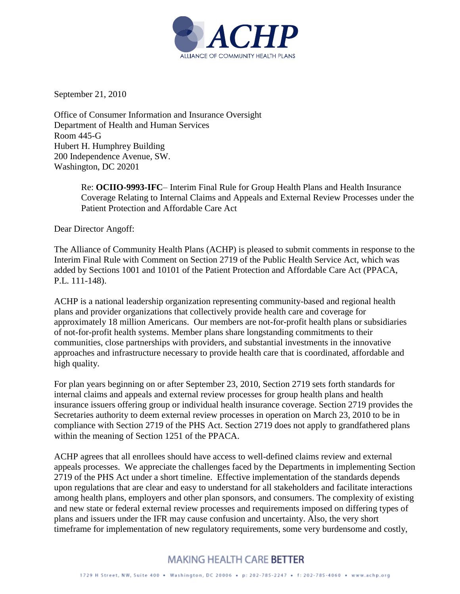

September 21, 2010

Office of Consumer Information and Insurance Oversight Department of Health and Human Services Room 445-G Hubert H. Humphrey Building 200 Independence Avenue, SW. Washington, DC 20201

> Re: **OCIIO-9993-IFC**– Interim Final Rule for Group Health Plans and Health Insurance Coverage Relating to Internal Claims and Appeals and External Review Processes under the Patient Protection and Affordable Care Act

Dear Director Angoff:

The Alliance of Community Health Plans (ACHP) is pleased to submit comments in response to the Interim Final Rule with Comment on Section 2719 of the Public Health Service Act, which was added by Sections 1001 and 10101 of the Patient Protection and Affordable Care Act (PPACA, P.L. 111-148).

ACHP is a national leadership organization representing community-based and regional health plans and provider organizations that collectively provide health care and coverage for approximately 18 million Americans. Our members are not-for-profit health plans or subsidiaries of not-for-profit health systems. Member plans share longstanding commitments to their communities, close partnerships with providers, and substantial investments in the innovative approaches and infrastructure necessary to provide health care that is coordinated, affordable and high quality.

For plan years beginning on or after September 23, 2010, Section 2719 sets forth standards for internal claims and appeals and external review processes for group health plans and health insurance issuers offering group or individual health insurance coverage. Section 2719 provides the Secretaries authority to deem external review processes in operation on March 23, 2010 to be in compliance with Section 2719 of the PHS Act. Section 2719 does not apply to grandfathered plans within the meaning of Section 1251 of the PPACA.

ACHP agrees that all enrollees should have access to well-defined claims review and external appeals processes. We appreciate the challenges faced by the Departments in implementing Section 2719 of the PHS Act under a short timeline. Effective implementation of the standards depends upon regulations that are clear and easy to understand for all stakeholders and facilitate interactions among health plans, employers and other plan sponsors, and consumers. The complexity of existing and new state or federal external review processes and requirements imposed on differing types of plans and issuers under the IFR may cause confusion and uncertainty. Also, the very short timeframe for implementation of new regulatory requirements, some very burdensome and costly,

# **MAKING HEALTH CARE BETTER**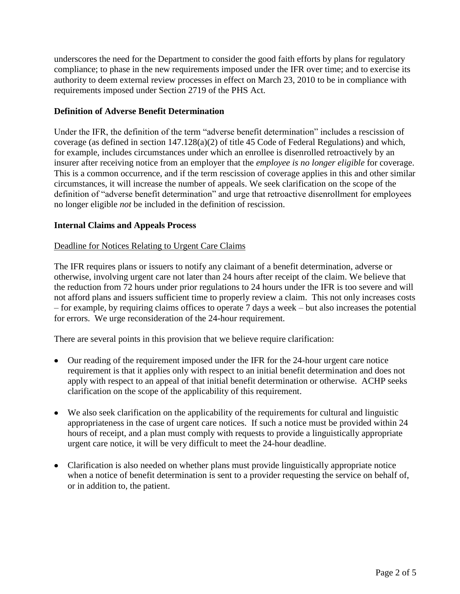underscores the need for the Department to consider the good faith efforts by plans for regulatory compliance; to phase in the new requirements imposed under the IFR over time; and to exercise its authority to deem external review processes in effect on March 23, 2010 to be in compliance with requirements imposed under Section 2719 of the PHS Act.

## **Definition of Adverse Benefit Determination**

Under the IFR, the definition of the term "adverse benefit determination" includes a rescission of coverage (as defined in section 147.128(a)(2) of title 45 Code of Federal Regulations) and which, for example, includes circumstances under which an enrollee is disenrolled retroactively by an insurer after receiving notice from an employer that the *employee is no longer eligible* for coverage. This is a common occurrence, and if the term rescission of coverage applies in this and other similar circumstances, it will increase the number of appeals. We seek clarification on the scope of the definition of "adverse benefit determination" and urge that retroactive disenrollment for employees no longer eligible *not* be included in the definition of rescission.

## **Internal Claims and Appeals Process**

#### Deadline for Notices Relating to Urgent Care Claims

The IFR requires plans or issuers to notify any claimant of a benefit determination, adverse or otherwise, involving urgent care not later than 24 hours after receipt of the claim. We believe that the reduction from 72 hours under prior regulations to 24 hours under the IFR is too severe and will not afford plans and issuers sufficient time to properly review a claim. This not only increases costs – for example, by requiring claims offices to operate 7 days a week – but also increases the potential for errors. We urge reconsideration of the 24-hour requirement.

There are several points in this provision that we believe require clarification:

- Our reading of the requirement imposed under the IFR for the 24-hour urgent care notice requirement is that it applies only with respect to an initial benefit determination and does not apply with respect to an appeal of that initial benefit determination or otherwise. ACHP seeks clarification on the scope of the applicability of this requirement.
- We also seek clarification on the applicability of the requirements for cultural and linguistic appropriateness in the case of urgent care notices. If such a notice must be provided within 24 hours of receipt, and a plan must comply with requests to provide a linguistically appropriate urgent care notice, it will be very difficult to meet the 24-hour deadline.
- Clarification is also needed on whether plans must provide linguistically appropriate notice when a notice of benefit determination is sent to a provider requesting the service on behalf of, or in addition to, the patient.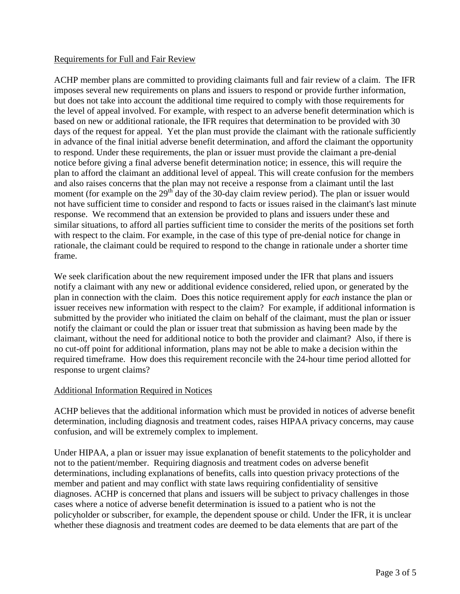## Requirements for Full and Fair Review

ACHP member plans are committed to providing claimants full and fair review of a claim. The IFR imposes several new requirements on plans and issuers to respond or provide further information, but does not take into account the additional time required to comply with those requirements for the level of appeal involved. For example, with respect to an adverse benefit determination which is based on new or additional rationale, the IFR requires that determination to be provided with 30 days of the request for appeal. Yet the plan must provide the claimant with the rationale sufficiently in advance of the final initial adverse benefit determination, and afford the claimant the opportunity to respond. Under these requirements, the plan or issuer must provide the claimant a pre-denial notice before giving a final adverse benefit determination notice; in essence, this will require the plan to afford the claimant an additional level of appeal. This will create confusion for the members and also raises concerns that the plan may not receive a response from a claimant until the last moment (for example on the  $29<sup>th</sup>$  day of the 30-day claim review period). The plan or issuer would not have sufficient time to consider and respond to facts or issues raised in the claimant's last minute response. We recommend that an extension be provided to plans and issuers under these and similar situations, to afford all parties sufficient time to consider the merits of the positions set forth with respect to the claim. For example, in the case of this type of pre-denial notice for change in rationale, the claimant could be required to respond to the change in rationale under a shorter time frame.

We seek clarification about the new requirement imposed under the IFR that plans and issuers notify a claimant with any new or additional evidence considered, relied upon, or generated by the plan in connection with the claim. Does this notice requirement apply for *each* instance the plan or issuer receives new information with respect to the claim? For example, if additional information is submitted by the provider who initiated the claim on behalf of the claimant, must the plan or issuer notify the claimant or could the plan or issuer treat that submission as having been made by the claimant, without the need for additional notice to both the provider and claimant? Also, if there is no cut-off point for additional information, plans may not be able to make a decision within the required timeframe. How does this requirement reconcile with the 24-hour time period allotted for response to urgent claims?

#### Additional Information Required in Notices

ACHP believes that the additional information which must be provided in notices of adverse benefit determination, including diagnosis and treatment codes, raises HIPAA privacy concerns, may cause confusion, and will be extremely complex to implement.

Under HIPAA, a plan or issuer may issue explanation of benefit statements to the policyholder and not to the patient/member. Requiring diagnosis and treatment codes on adverse benefit determinations, including explanations of benefits, calls into question privacy protections of the member and patient and may conflict with state laws requiring confidentiality of sensitive diagnoses. ACHP is concerned that plans and issuers will be subject to privacy challenges in those cases where a notice of adverse benefit determination is issued to a patient who is not the policyholder or subscriber, for example, the dependent spouse or child. Under the IFR, it is unclear whether these diagnosis and treatment codes are deemed to be data elements that are part of the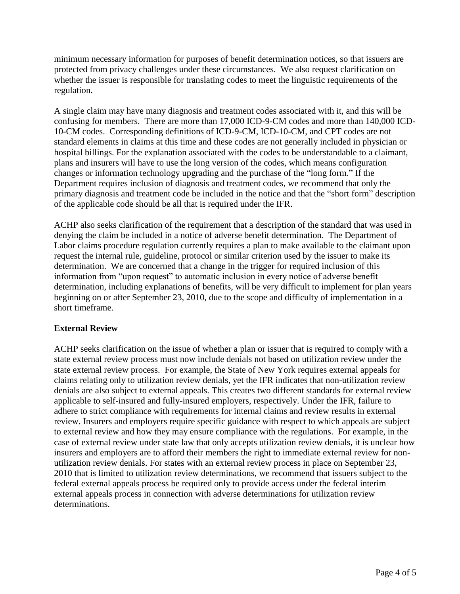minimum necessary information for purposes of benefit determination notices, so that issuers are protected from privacy challenges under these circumstances. We also request clarification on whether the issuer is responsible for translating codes to meet the linguistic requirements of the regulation.

A single claim may have many diagnosis and treatment codes associated with it, and this will be confusing for members. There are more than 17,000 ICD-9-CM codes and more than 140,000 ICD-10-CM codes. Corresponding definitions of ICD-9-CM, ICD-10-CM, and CPT codes are not standard elements in claims at this time and these codes are not generally included in physician or hospital billings. For the explanation associated with the codes to be understandable to a claimant, plans and insurers will have to use the long version of the codes, which means configuration changes or information technology upgrading and the purchase of the "long form." If the Department requires inclusion of diagnosis and treatment codes, we recommend that only the primary diagnosis and treatment code be included in the notice and that the "short form" description of the applicable code should be all that is required under the IFR.

ACHP also seeks clarification of the requirement that a description of the standard that was used in denying the claim be included in a notice of adverse benefit determination. The Department of Labor claims procedure regulation currently requires a plan to make available to the claimant upon request the internal rule, guideline, protocol or similar criterion used by the issuer to make its determination. We are concerned that a change in the trigger for required inclusion of this information from "upon request" to automatic inclusion in every notice of adverse benefit determination, including explanations of benefits, will be very difficult to implement for plan years beginning on or after September 23, 2010, due to the scope and difficulty of implementation in a short timeframe.

## **External Review**

ACHP seeks clarification on the issue of whether a plan or issuer that is required to comply with a state external review process must now include denials not based on utilization review under the state external review process. For example, the State of New York requires external appeals for claims relating only to utilization review denials, yet the IFR indicates that non-utilization review denials are also subject to external appeals. This creates two different standards for external review applicable to self-insured and fully-insured employers, respectively. Under the IFR, failure to adhere to strict compliance with requirements for internal claims and review results in external review. Insurers and employers require specific guidance with respect to which appeals are subject to external review and how they may ensure compliance with the regulations. For example, in the case of external review under state law that only accepts utilization review denials, it is unclear how insurers and employers are to afford their members the right to immediate external review for nonutilization review denials. For states with an external review process in place on September 23, 2010 that is limited to utilization review determinations, we recommend that issuers subject to the federal external appeals process be required only to provide access under the federal interim external appeals process in connection with adverse determinations for utilization review determinations.